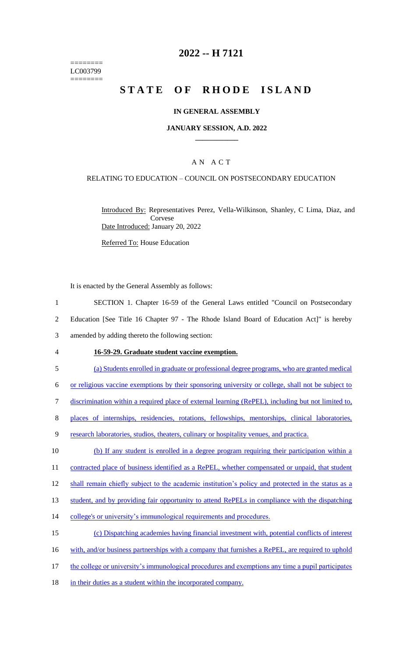======== LC003799 ========

# **2022 -- H 7121**

# **STATE OF RHODE ISLAND**

### **IN GENERAL ASSEMBLY**

### **JANUARY SESSION, A.D. 2022 \_\_\_\_\_\_\_\_\_\_\_\_**

### A N A C T

### RELATING TO EDUCATION – COUNCIL ON POSTSECONDARY EDUCATION

Introduced By: Representatives Perez, Vella-Wilkinson, Shanley, C Lima, Diaz, and Corvese Date Introduced: January 20, 2022

Referred To: House Education

It is enacted by the General Assembly as follows:

1 SECTION 1. Chapter 16-59 of the General Laws entitled "Council on Postsecondary 2 Education [See Title 16 Chapter 97 - The Rhode Island Board of Education Act]" is hereby

- 3 amended by adding thereto the following section:
- 

#### 4 **16-59-29. Graduate student vaccine exemption.**

5 (a) Students enrolled in graduate or professional degree programs, who are granted medical

6 or religious vaccine exemptions by their sponsoring university or college, shall not be subject to

- 7 discrimination within a required place of external learning (RePEL), including but not limited to,
- 8 places of internships, residencies, rotations, fellowships, mentorships, clinical laboratories,
- 9 research laboratories, studios, theaters, culinary or hospitality venues, and practica.

10 (b) If any student is enrolled in a degree program requiring their participation within a 11 contracted place of business identified as a RePEL, whether compensated or unpaid, that student

12 shall remain chiefly subject to the academic institution's policy and protected in the status as a

13 student, and by providing fair opportunity to attend RePELs in compliance with the dispatching

14 college's or university's immunological requirements and procedures.

15 (c) Dispatching academies having financial investment with, potential conflicts of interest

16 with, and/or business partnerships with a company that furnishes a RePEL, are required to uphold

- 17 the college or university's immunological procedures and exemptions any time a pupil participates
- 18 in their duties as a student within the incorporated company.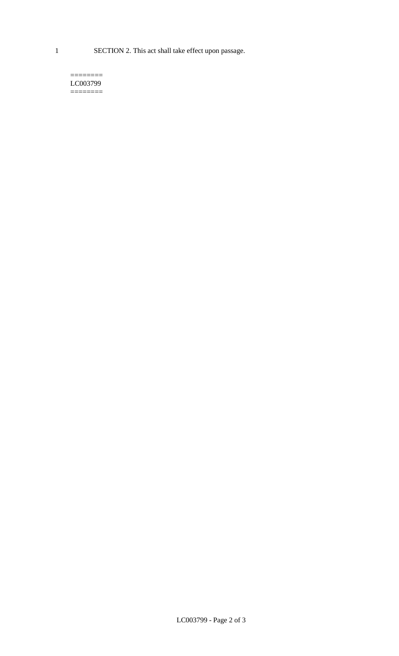1 SECTION 2. This act shall take effect upon passage.